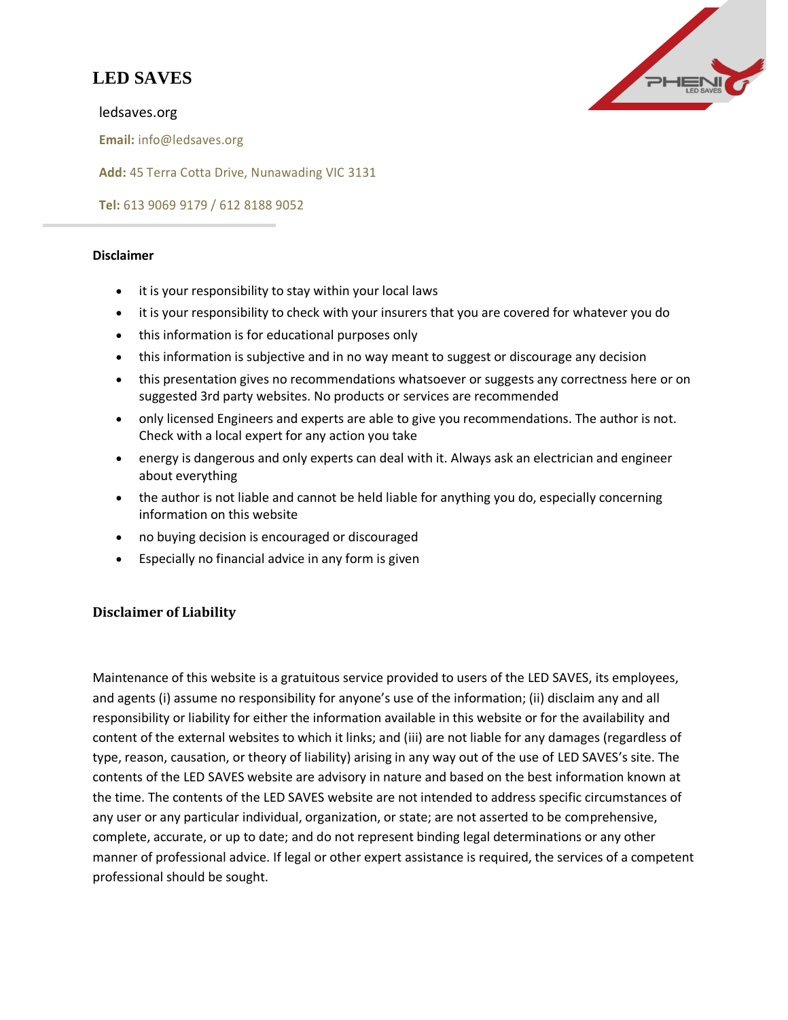## **LED SAVES**



ledsaves.org

**Email:** [info@ledsaves.org](mailto:info@ledsaves.org)

**Add:** 45 Terra Cotta Drive, Nunawading VIC 3131

**Tel:** 613 9069 9179 / 612 8188 9052

## **Disclaimer**

- it is your responsibility to stay within your local laws
- it is your responsibility to check with your insurers that you are covered for whatever you do
- this information is for educational purposes only
- this information is subjective and in no way meant to suggest or discourage any decision
- this presentation gives no recommendations whatsoever or suggests any correctness here or on suggested 3rd party websites. No products or services are recommended
- only licensed Engineers and experts are able to give you recommendations. The author is not. Check with a local expert for any action you take
- energy is dangerous and only experts can deal with it. Always ask an electrician and engineer about everything
- the author is not liable and cannot be held liable for anything you do, especially concerning information on this website
- no buying decision is encouraged or discouraged
- Especially no financial advice in any form is given

## **Disclaimer of Liability**

Maintenance of this website is a gratuitous service provided to users of the LED SAVES, its employees, and agents (i) assume no responsibility for anyone's use of the information; (ii) disclaim any and all responsibility or liability for either the information available in this website or for the availability and content of the external websites to which it links; and (iii) are not liable for any damages (regardless of type, reason, causation, or theory of liability) arising in any way out of the use of LED SAVES's site. The contents of the LED SAVES website are advisory in nature and based on the best information known at the time. The contents of the LED SAVES website are not intended to address specific circumstances of any user or any particular individual, organization, or state; are not asserted to be comprehensive, complete, accurate, or up to date; and do not represent binding legal determinations or any other manner of professional advice. If legal or other expert assistance is required, the services of a competent professional should be sought.